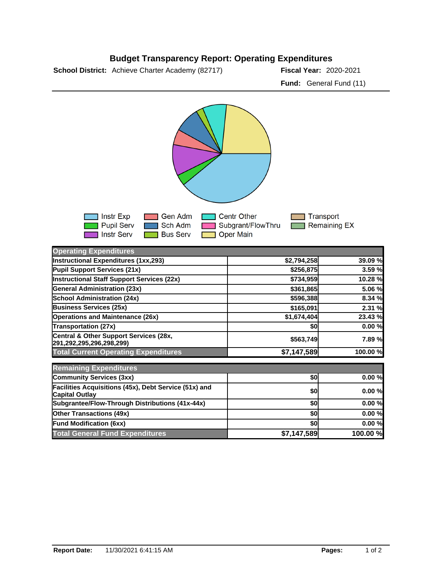## **Budget Transparency Report: Operating Expenditures**

**School District:** Achieve Charter Academy (82717) **Fiscal Year:** 2020-2021

**Fund:** General Fund (11)



| <b>Operating Expenditures</b>                                                  |             |          |
|--------------------------------------------------------------------------------|-------------|----------|
| Instructional Expenditures (1xx,293)                                           | \$2,794,258 | 39.09 %  |
| Pupil Support Services (21x)                                                   | \$256,875   | 3.59 %   |
| Instructional Staff Support Services (22x)                                     | \$734,959   | 10.28 %  |
| <b>General Administration (23x)</b>                                            | \$361,865   | 5.06 %   |
| <b>School Administration (24x)</b>                                             | \$596,388   | 8.34 %   |
| <b>Business Services (25x)</b>                                                 | \$165,091   | 2.31 %   |
| <b>Operations and Maintenance (26x)</b>                                        | \$1,674,404 | 23.43 %  |
| <b>Transportation (27x)</b>                                                    | \$0         | 0.00%    |
| Central & Other Support Services (28x,<br>291,292,295,296,298,299)             | \$563,749   | 7.89%    |
| <b>Total Current Operating Expenditures</b>                                    | \$7,147,589 | 100.00 % |
| <b>Remaining Expenditures</b>                                                  |             |          |
| Community Services (3xx)                                                       | \$0         | 0.00%    |
| Facilities Acquisitions (45x), Debt Service (51x) and<br><b>Capital Outlay</b> | \$0         | 0.00%    |
| Subgrantee/Flow-Through Distributions (41x-44x)                                | \$0         | 0.00%    |
| <b>Other Transactions (49x)</b>                                                | \$0         | 0.00%    |
| <b>Fund Modification (6xx)</b>                                                 | \$0         | 0.00%    |
| <b>Total General Fund Expenditures</b>                                         | \$7,147,589 | 100.00 % |